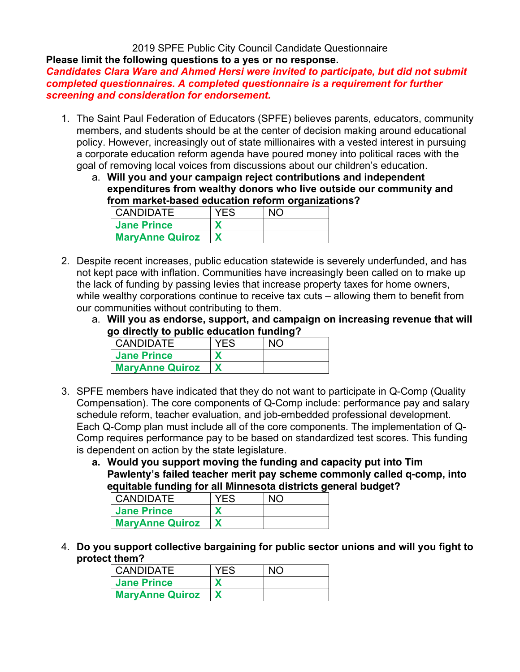# 2019 SPFE Public City Council Candidate Questionnaire

**Please limit the following questions to a yes or no response.** 

*Candidates Clara Ware and Ahmed Hersi were invited to participate, but did not submit completed questionnaires. A completed questionnaire is a requirement for further screening and consideration for endorsement.* 

- 1. The Saint Paul Federation of Educators (SPFE) believes parents, educators, community members, and students should be at the center of decision making around educational policy. However, increasingly out of state millionaires with a vested interest in pursuing a corporate education reform agenda have poured money into political races with the goal of removing local voices from discussions about our children's education.
	- a. **Will you and your campaign reject contributions and independent expenditures from wealthy donors who live outside our community and from market-based education reform organizations?**

| <b>CANDIDATE</b>       | YES | $\overline{\mathsf{N}}$ |
|------------------------|-----|-------------------------|
| <b>Jane Prince</b>     |     |                         |
| <b>MaryAnne Quiroz</b> |     |                         |

- 2. Despite recent increases, public education statewide is severely underfunded, and has not kept pace with inflation. Communities have increasingly been called on to make up the lack of funding by passing levies that increase property taxes for home owners, while wealthy corporations continue to receive tax cuts – allowing them to benefit from our communities without contributing to them.
	- a. **Will you as endorse, support, and campaign on increasing revenue that will go directly to public education funding?**

| <b>CANDIDATE</b>       | <b>YFS</b> |  |
|------------------------|------------|--|
| <b>Jane Prince</b>     |            |  |
| <b>MaryAnne Quiroz</b> |            |  |

- 3. SPFE members have indicated that they do not want to participate in Q-Comp (Quality Compensation). The core components of Q-Comp include: performance pay and salary schedule reform, teacher evaluation, and job-embedded professional development. Each Q-Comp plan must include all of the core components. The implementation of Q-Comp requires performance pay to be based on standardized test scores. This funding is dependent on action by the state legislature.
	- **a. Would you support moving the funding and capacity put into Tim Pawlenty's failed teacher merit pay scheme commonly called q-comp, into equitable funding for all Minnesota districts general budget?**

| <b>CANDIDATE</b>       | YFS | NIC |
|------------------------|-----|-----|
| <b>Jane Prince</b>     |     |     |
| <b>MaryAnne Quiroz</b> |     |     |

4. **Do you support collective bargaining for public sector unions and will you fight to protect them?**

| <b>CANDIDATE</b>       | <b>YES</b> | N <sub>O</sub> |
|------------------------|------------|----------------|
| <b>Jane Prince</b>     |            |                |
| <b>MaryAnne Quiroz</b> |            |                |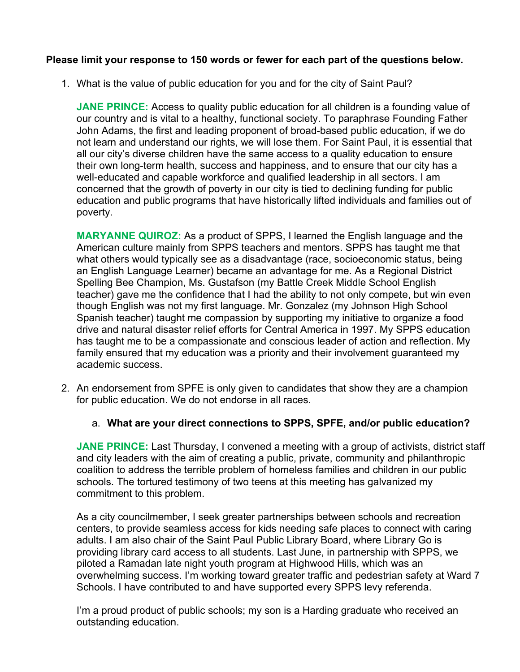## **Please limit your response to 150 words or fewer for each part of the questions below.**

1. What is the value of public education for you and for the city of Saint Paul?

**JANE PRINCE:** Access to quality public education for all children is a founding value of our country and is vital to a healthy, functional society. To paraphrase Founding Father John Adams, the first and leading proponent of broad-based public education, if we do not learn and understand our rights, we will lose them. For Saint Paul, it is essential that all our city's diverse children have the same access to a quality education to ensure their own long-term health, success and happiness, and to ensure that our city has a well-educated and capable workforce and qualified leadership in all sectors. I am concerned that the growth of poverty in our city is tied to declining funding for public education and public programs that have historically lifted individuals and families out of poverty.

**MARYANNE QUIROZ:** As a product of SPPS, I learned the English language and the American culture mainly from SPPS teachers and mentors. SPPS has taught me that what others would typically see as a disadvantage (race, socioeconomic status, being an English Language Learner) became an advantage for me. As a Regional District Spelling Bee Champion, Ms. Gustafson (my Battle Creek Middle School English teacher) gave me the confidence that I had the ability to not only compete, but win even though English was not my first language. Mr. Gonzalez (my Johnson High School Spanish teacher) taught me compassion by supporting my initiative to organize a food drive and natural disaster relief efforts for Central America in 1997. My SPPS education has taught me to be a compassionate and conscious leader of action and reflection. My family ensured that my education was a priority and their involvement guaranteed my academic success.

- 2. An endorsement from SPFE is only given to candidates that show they are a champion for public education. We do not endorse in all races.
	- a. **What are your direct connections to SPPS, SPFE, and/or public education?**

**JANE PRINCE:** Last Thursday, I convened a meeting with a group of activists, district staff and city leaders with the aim of creating a public, private, community and philanthropic coalition to address the terrible problem of homeless families and children in our public schools. The tortured testimony of two teens at this meeting has galvanized my commitment to this problem.

As a city councilmember, I seek greater partnerships between schools and recreation centers, to provide seamless access for kids needing safe places to connect with caring adults. I am also chair of the Saint Paul Public Library Board, where Library Go is providing library card access to all students. Last June, in partnership with SPPS, we piloted a Ramadan late night youth program at Highwood Hills, which was an overwhelming success. I'm working toward greater traffic and pedestrian safety at Ward 7 Schools. I have contributed to and have supported every SPPS levy referenda.

I'm a proud product of public schools; my son is a Harding graduate who received an outstanding education.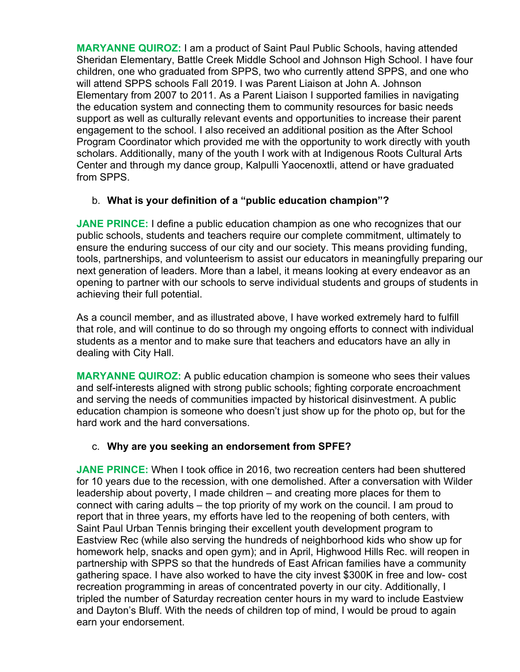**MARYANNE QUIROZ:** I am a product of Saint Paul Public Schools, having attended Sheridan Elementary, Battle Creek Middle School and Johnson High School. I have four children, one who graduated from SPPS, two who currently attend SPPS, and one who will attend SPPS schools Fall 2019. I was Parent Liaison at John A. Johnson Elementary from 2007 to 2011. As a Parent Liaison I supported families in navigating the education system and connecting them to community resources for basic needs support as well as culturally relevant events and opportunities to increase their parent engagement to the school. I also received an additional position as the After School Program Coordinator which provided me with the opportunity to work directly with youth scholars. Additionally, many of the youth I work with at Indigenous Roots Cultural Arts Center and through my dance group, Kalpulli Yaocenoxtli, attend or have graduated from SPPS.

## b. **What is your definition of a "public education champion"?**

**JANE PRINCE:** I define a public education champion as one who recognizes that our public schools, students and teachers require our complete commitment, ultimately to ensure the enduring success of our city and our society. This means providing funding, tools, partnerships, and volunteerism to assist our educators in meaningfully preparing our next generation of leaders. More than a label, it means looking at every endeavor as an opening to partner with our schools to serve individual students and groups of students in achieving their full potential.

As a council member, and as illustrated above, I have worked extremely hard to fulfill that role, and will continue to do so through my ongoing efforts to connect with individual students as a mentor and to make sure that teachers and educators have an ally in dealing with City Hall.

**MARYANNE QUIROZ:** A public education champion is someone who sees their values and self-interests aligned with strong public schools; fighting corporate encroachment and serving the needs of communities impacted by historical disinvestment. A public education champion is someone who doesn't just show up for the photo op, but for the hard work and the hard conversations.

# c. **Why are you seeking an endorsement from SPFE?**

**JANE PRINCE:** When I took office in 2016, two recreation centers had been shuttered for 10 years due to the recession, with one demolished. After a conversation with Wilder leadership about poverty, I made children – and creating more places for them to connect with caring adults – the top priority of my work on the council. I am proud to report that in three years, my efforts have led to the reopening of both centers, with Saint Paul Urban Tennis bringing their excellent youth development program to Eastview Rec (while also serving the hundreds of neighborhood kids who show up for homework help, snacks and open gym); and in April, Highwood Hills Rec. will reopen in partnership with SPPS so that the hundreds of East African families have a community gathering space. I have also worked to have the city invest \$300K in free and low- cost recreation programming in areas of concentrated poverty in our city. Additionally, I tripled the number of Saturday recreation center hours in my ward to include Eastview and Dayton's Bluff. With the needs of children top of mind, I would be proud to again earn your endorsement.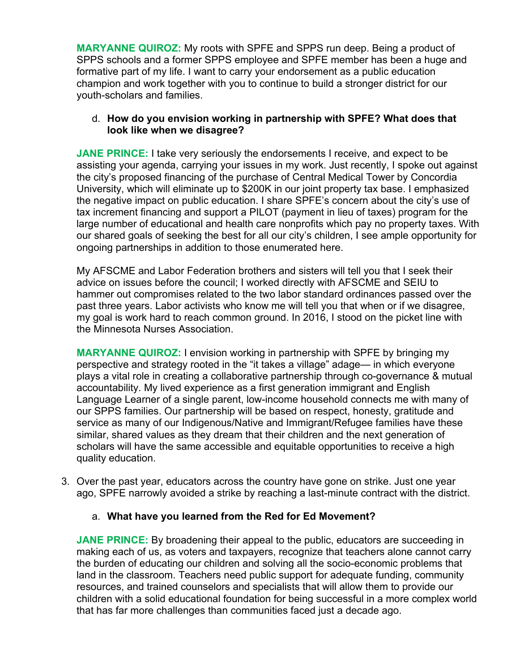**MARYANNE QUIROZ:** My roots with SPFE and SPPS run deep. Being a product of SPPS schools and a former SPPS employee and SPFE member has been a huge and formative part of my life. I want to carry your endorsement as a public education champion and work together with you to continue to build a stronger district for our youth-scholars and families.

## d. **How do you envision working in partnership with SPFE? What does that look like when we disagree?**

**JANE PRINCE:** I take very seriously the endorsements I receive, and expect to be assisting your agenda, carrying your issues in my work. Just recently, I spoke out against the city's proposed financing of the purchase of Central Medical Tower by Concordia University, which will eliminate up to \$200K in our joint property tax base. I emphasized the negative impact on public education. I share SPFE's concern about the city's use of tax increment financing and support a PILOT (payment in lieu of taxes) program for the large number of educational and health care nonprofits which pay no property taxes. With our shared goals of seeking the best for all our city's children, I see ample opportunity for ongoing partnerships in addition to those enumerated here.

My AFSCME and Labor Federation brothers and sisters will tell you that I seek their advice on issues before the council; I worked directly with AFSCME and SEIU to hammer out compromises related to the two labor standard ordinances passed over the past three years. Labor activists who know me will tell you that when or if we disagree, my goal is work hard to reach common ground. In 2016, I stood on the picket line with the Minnesota Nurses Association.

**MARYANNE QUIROZ:** I envision working in partnership with SPFE by bringing my perspective and strategy rooted in the "it takes a village" adage— in which everyone plays a vital role in creating a collaborative partnership through co-governance & mutual accountability. My lived experience as a first generation immigrant and English Language Learner of a single parent, low-income household connects me with many of our SPPS families. Our partnership will be based on respect, honesty, gratitude and service as many of our Indigenous/Native and Immigrant/Refugee families have these similar, shared values as they dream that their children and the next generation of scholars will have the same accessible and equitable opportunities to receive a high quality education.

3. Over the past year, educators across the country have gone on strike. Just one year ago, SPFE narrowly avoided a strike by reaching a last-minute contract with the district.

## a. **What have you learned from the Red for Ed Movement?**

**JANE PRINCE:** By broadening their appeal to the public, educators are succeeding in making each of us, as voters and taxpayers, recognize that teachers alone cannot carry the burden of educating our children and solving all the socio-economic problems that land in the classroom. Teachers need public support for adequate funding, community resources, and trained counselors and specialists that will allow them to provide our children with a solid educational foundation for being successful in a more complex world that has far more challenges than communities faced just a decade ago.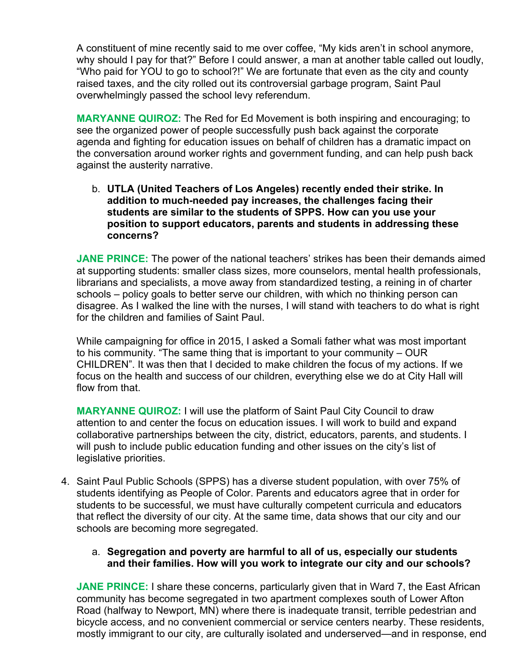A constituent of mine recently said to me over coffee, "My kids aren't in school anymore, why should I pay for that?" Before I could answer, a man at another table called out loudly, "Who paid for YOU to go to school?!" We are fortunate that even as the city and county raised taxes, and the city rolled out its controversial garbage program, Saint Paul overwhelmingly passed the school levy referendum.

**MARYANNE QUIROZ:** The Red for Ed Movement is both inspiring and encouraging; to see the organized power of people successfully push back against the corporate agenda and fighting for education issues on behalf of children has a dramatic impact on the conversation around worker rights and government funding, and can help push back against the austerity narrative.

b. **UTLA (United Teachers of Los Angeles) recently ended their strike. In addition to much-needed pay increases, the challenges facing their students are similar to the students of SPPS. How can you use your position to support educators, parents and students in addressing these concerns?**

**JANE PRINCE:** The power of the national teachers' strikes has been their demands aimed at supporting students: smaller class sizes, more counselors, mental health professionals, librarians and specialists, a move away from standardized testing, a reining in of charter schools – policy goals to better serve our children, with which no thinking person can disagree. As I walked the line with the nurses, I will stand with teachers to do what is right for the children and families of Saint Paul.

While campaigning for office in 2015, I asked a Somali father what was most important to his community. "The same thing that is important to your community – OUR CHILDREN". It was then that I decided to make children the focus of my actions. If we focus on the health and success of our children, everything else we do at City Hall will flow from that.

**MARYANNE QUIROZ:** I will use the platform of Saint Paul City Council to draw attention to and center the focus on education issues. I will work to build and expand collaborative partnerships between the city, district, educators, parents, and students. I will push to include public education funding and other issues on the city's list of legislative priorities.

4. Saint Paul Public Schools (SPPS) has a diverse student population, with over 75% of students identifying as People of Color. Parents and educators agree that in order for students to be successful, we must have culturally competent curricula and educators that reflect the diversity of our city. At the same time, data shows that our city and our schools are becoming more segregated.

## a. **Segregation and poverty are harmful to all of us, especially our students and their families. How will you work to integrate our city and our schools?**

**JANE PRINCE:** I share these concerns, particularly given that in Ward 7, the East African community has become segregated in two apartment complexes south of Lower Afton Road (halfway to Newport, MN) where there is inadequate transit, terrible pedestrian and bicycle access, and no convenient commercial or service centers nearby. These residents, mostly immigrant to our city, are culturally isolated and underserved—and in response, end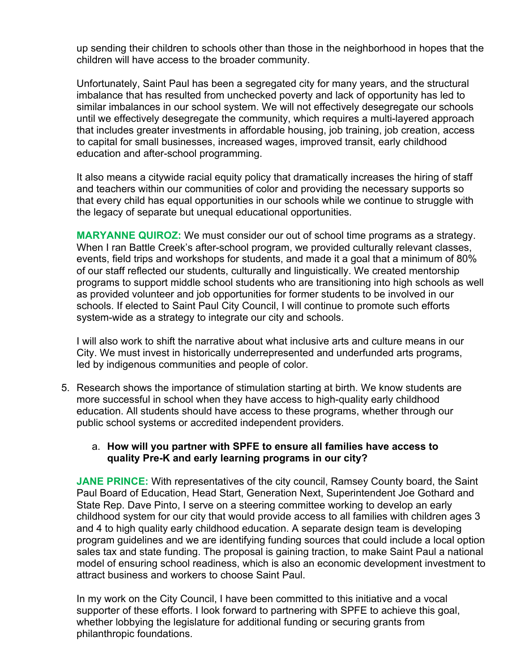up sending their children to schools other than those in the neighborhood in hopes that the children will have access to the broader community.

Unfortunately, Saint Paul has been a segregated city for many years, and the structural imbalance that has resulted from unchecked poverty and lack of opportunity has led to similar imbalances in our school system. We will not effectively desegregate our schools until we effectively desegregate the community, which requires a multi-layered approach that includes greater investments in affordable housing, job training, job creation, access to capital for small businesses, increased wages, improved transit, early childhood education and after-school programming.

It also means a citywide racial equity policy that dramatically increases the hiring of staff and teachers within our communities of color and providing the necessary supports so that every child has equal opportunities in our schools while we continue to struggle with the legacy of separate but unequal educational opportunities.

**MARYANNE QUIROZ:** We must consider our out of school time programs as a strategy. When I ran Battle Creek's after-school program, we provided culturally relevant classes, events, field trips and workshops for students, and made it a goal that a minimum of 80% of our staff reflected our students, culturally and linguistically. We created mentorship programs to support middle school students who are transitioning into high schools as well as provided volunteer and job opportunities for former students to be involved in our schools. If elected to Saint Paul City Council, I will continue to promote such efforts system-wide as a strategy to integrate our city and schools.

I will also work to shift the narrative about what inclusive arts and culture means in our City. We must invest in historically underrepresented and underfunded arts programs, led by indigenous communities and people of color.

5. Research shows the importance of stimulation starting at birth. We know students are more successful in school when they have access to high-quality early childhood education. All students should have access to these programs, whether through our public school systems or accredited independent providers.

## a. **How will you partner with SPFE to ensure all families have access to quality Pre-K and early learning programs in our city?**

**JANE PRINCE:** With representatives of the city council, Ramsey County board, the Saint Paul Board of Education, Head Start, Generation Next, Superintendent Joe Gothard and State Rep. Dave Pinto, I serve on a steering committee working to develop an early childhood system for our city that would provide access to all families with children ages 3 and 4 to high quality early childhood education. A separate design team is developing program guidelines and we are identifying funding sources that could include a local option sales tax and state funding. The proposal is gaining traction, to make Saint Paul a national model of ensuring school readiness, which is also an economic development investment to attract business and workers to choose Saint Paul.

In my work on the City Council, I have been committed to this initiative and a vocal supporter of these efforts. I look forward to partnering with SPFE to achieve this goal, whether lobbying the legislature for additional funding or securing grants from philanthropic foundations.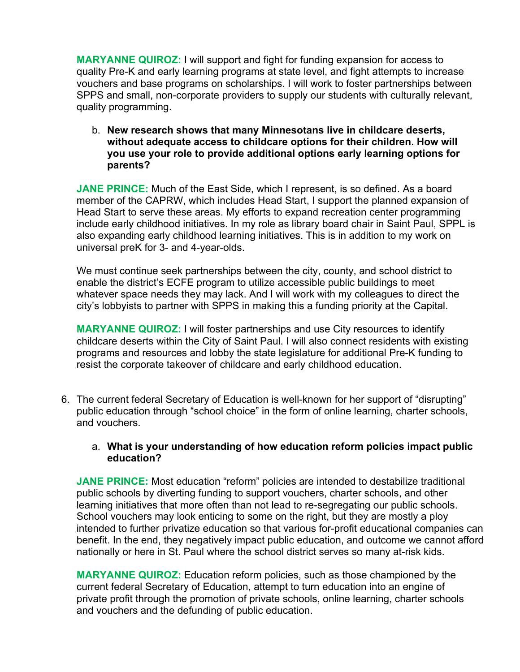**MARYANNE QUIROZ:** I will support and fight for funding expansion for access to quality Pre-K and early learning programs at state level, and fight attempts to increase vouchers and base programs on scholarships. I will work to foster partnerships between SPPS and small, non-corporate providers to supply our students with culturally relevant, quality programming.

b. **New research shows that many Minnesotans live in childcare deserts, without adequate access to childcare options for their children. How will you use your role to provide additional options early learning options for parents?**

**JANE PRINCE:** Much of the East Side, which I represent, is so defined. As a board member of the CAPRW, which includes Head Start, I support the planned expansion of Head Start to serve these areas. My efforts to expand recreation center programming include early childhood initiatives. In my role as library board chair in Saint Paul, SPPL is also expanding early childhood learning initiatives. This is in addition to my work on universal preK for 3- and 4-year-olds.

We must continue seek partnerships between the city, county, and school district to enable the district's ECFE program to utilize accessible public buildings to meet whatever space needs they may lack. And I will work with my colleagues to direct the city's lobbyists to partner with SPPS in making this a funding priority at the Capital.

**MARYANNE QUIROZ:** I will foster partnerships and use City resources to identify childcare deserts within the City of Saint Paul. I will also connect residents with existing programs and resources and lobby the state legislature for additional Pre-K funding to resist the corporate takeover of childcare and early childhood education.

6. The current federal Secretary of Education is well-known for her support of "disrupting" public education through "school choice" in the form of online learning, charter schools, and vouchers.

## a. **What is your understanding of how education reform policies impact public education?**

**JANE PRINCE:** Most education "reform" policies are intended to destabilize traditional public schools by diverting funding to support vouchers, charter schools, and other learning initiatives that more often than not lead to re-segregating our public schools. School vouchers may look enticing to some on the right, but they are mostly a ploy intended to further privatize education so that various for-profit educational companies can benefit. In the end, they negatively impact public education, and outcome we cannot afford nationally or here in St. Paul where the school district serves so many at-risk kids.

**MARYANNE QUIROZ:** Education reform policies, such as those championed by the current federal Secretary of Education, attempt to turn education into an engine of private profit through the promotion of private schools, online learning, charter schools and vouchers and the defunding of public education.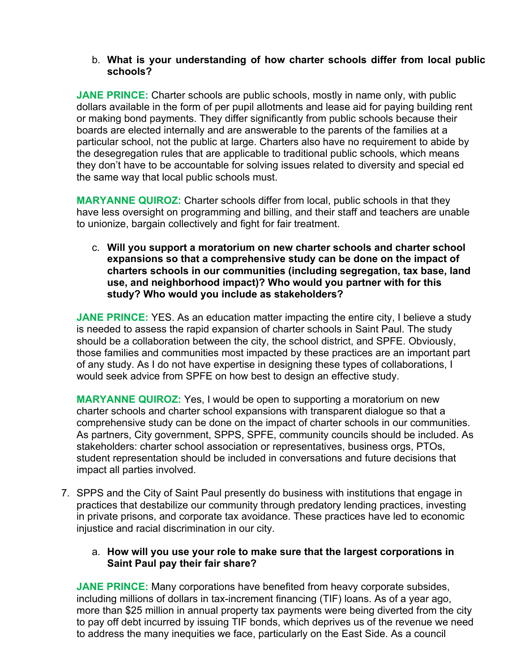### b. **What is your understanding of how charter schools differ from local public schools?**

**JANE PRINCE:** Charter schools are public schools, mostly in name only, with public dollars available in the form of per pupil allotments and lease aid for paying building rent or making bond payments. They differ significantly from public schools because their boards are elected internally and are answerable to the parents of the families at a particular school, not the public at large. Charters also have no requirement to abide by the desegregation rules that are applicable to traditional public schools, which means they don't have to be accountable for solving issues related to diversity and special ed the same way that local public schools must.

**MARYANNE QUIROZ:** Charter schools differ from local, public schools in that they have less oversight on programming and billing, and their staff and teachers are unable to unionize, bargain collectively and fight for fair treatment.

c. **Will you support a moratorium on new charter schools and charter school expansions so that a comprehensive study can be done on the impact of charters schools in our communities (including segregation, tax base, land use, and neighborhood impact)? Who would you partner with for this study? Who would you include as stakeholders?**

**JANE PRINCE:** YES. As an education matter impacting the entire city, I believe a study is needed to assess the rapid expansion of charter schools in Saint Paul. The study should be a collaboration between the city, the school district, and SPFE. Obviously, those families and communities most impacted by these practices are an important part of any study. As I do not have expertise in designing these types of collaborations, I would seek advice from SPFE on how best to design an effective study.

**MARYANNE QUIROZ:** Yes, I would be open to supporting a moratorium on new charter schools and charter school expansions with transparent dialogue so that a comprehensive study can be done on the impact of charter schools in our communities. As partners, City government, SPPS, SPFE, community councils should be included. As stakeholders: charter school association or representatives, business orgs, PTOs, student representation should be included in conversations and future decisions that impact all parties involved.

7. SPPS and the City of Saint Paul presently do business with institutions that engage in practices that destabilize our community through predatory lending practices, investing in private prisons, and corporate tax avoidance. These practices have led to economic injustice and racial discrimination in our city.

## a. **How will you use your role to make sure that the largest corporations in Saint Paul pay their fair share?**

**JANE PRINCE:** Many corporations have benefited from heavy corporate subsides, including millions of dollars in tax-increment financing (TIF) loans. As of a year ago, more than \$25 million in annual property tax payments were being diverted from the city to pay off debt incurred by issuing TIF bonds, which deprives us of the revenue we need to address the many inequities we face, particularly on the East Side. As a council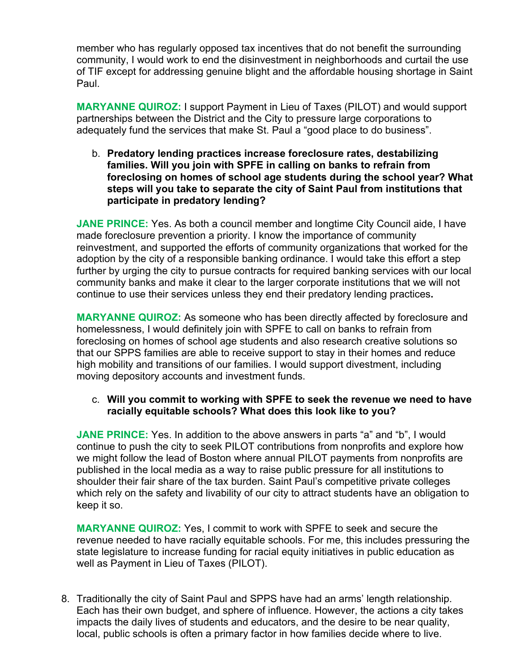member who has regularly opposed tax incentives that do not benefit the surrounding community, I would work to end the disinvestment in neighborhoods and curtail the use of TIF except for addressing genuine blight and the affordable housing shortage in Saint Paul.

**MARYANNE QUIROZ:** I support Payment in Lieu of Taxes (PILOT) and would support partnerships between the District and the City to pressure large corporations to adequately fund the services that make St. Paul a "good place to do business".

b. **Predatory lending practices increase foreclosure rates, destabilizing families. Will you join with SPFE in calling on banks to refrain from foreclosing on homes of school age students during the school year? What steps will you take to separate the city of Saint Paul from institutions that participate in predatory lending?**

**JANE PRINCE:** Yes. As both a council member and longtime City Council aide, I have made foreclosure prevention a priority. I know the importance of community reinvestment, and supported the efforts of community organizations that worked for the adoption by the city of a responsible banking ordinance. I would take this effort a step further by urging the city to pursue contracts for required banking services with our local community banks and make it clear to the larger corporate institutions that we will not continue to use their services unless they end their predatory lending practices**.**

**MARYANNE QUIROZ:** As someone who has been directly affected by foreclosure and homelessness, I would definitely join with SPFE to call on banks to refrain from foreclosing on homes of school age students and also research creative solutions so that our SPPS families are able to receive support to stay in their homes and reduce high mobility and transitions of our families. I would support divestment, including moving depository accounts and investment funds.

## c. **Will you commit to working with SPFE to seek the revenue we need to have racially equitable schools? What does this look like to you?**

**JANE PRINCE:** Yes. In addition to the above answers in parts "a" and "b", I would continue to push the city to seek PILOT contributions from nonprofits and explore how we might follow the lead of Boston where annual PILOT payments from nonprofits are published in the local media as a way to raise public pressure for all institutions to shoulder their fair share of the tax burden. Saint Paul's competitive private colleges which rely on the safety and livability of our city to attract students have an obligation to keep it so.

**MARYANNE QUIROZ:** Yes, I commit to work with SPFE to seek and secure the revenue needed to have racially equitable schools. For me, this includes pressuring the state legislature to increase funding for racial equity initiatives in public education as well as Payment in Lieu of Taxes (PILOT).

8. Traditionally the city of Saint Paul and SPPS have had an arms' length relationship. Each has their own budget, and sphere of influence. However, the actions a city takes impacts the daily lives of students and educators, and the desire to be near quality, local, public schools is often a primary factor in how families decide where to live.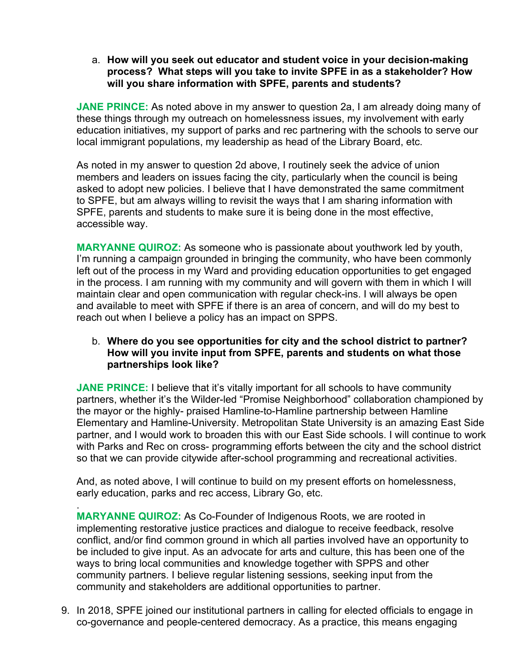a. **How will you seek out educator and student voice in your decision-making process? What steps will you take to invite SPFE in as a stakeholder? How will you share information with SPFE, parents and students?** 

**JANE PRINCE:** As noted above in my answer to question 2a, I am already doing many of these things through my outreach on homelessness issues, my involvement with early education initiatives, my support of parks and rec partnering with the schools to serve our local immigrant populations, my leadership as head of the Library Board, etc.

As noted in my answer to question 2d above, I routinely seek the advice of union members and leaders on issues facing the city, particularly when the council is being asked to adopt new policies. I believe that I have demonstrated the same commitment to SPFE, but am always willing to revisit the ways that I am sharing information with SPFE, parents and students to make sure it is being done in the most effective, accessible way.

**MARYANNE QUIROZ:** As someone who is passionate about youthwork led by youth, I'm running a campaign grounded in bringing the community, who have been commonly left out of the process in my Ward and providing education opportunities to get engaged in the process. I am running with my community and will govern with them in which I will maintain clear and open communication with regular check-ins. I will always be open and available to meet with SPFE if there is an area of concern, and will do my best to reach out when I believe a policy has an impact on SPPS.

## b. **Where do you see opportunities for city and the school district to partner? How will you invite input from SPFE, parents and students on what those partnerships look like?**

**JANE PRINCE:** I believe that it's vitally important for all schools to have community partners, whether it's the Wilder-led "Promise Neighborhood" collaboration championed by the mayor or the highly- praised Hamline-to-Hamline partnership between Hamline Elementary and Hamline-University. Metropolitan State University is an amazing East Side partner, and I would work to broaden this with our East Side schools. I will continue to work with Parks and Rec on cross- programming efforts between the city and the school district so that we can provide citywide after-school programming and recreational activities.

And, as noted above, I will continue to build on my present efforts on homelessness, early education, parks and rec access, Library Go, etc.

. **MARYANNE QUIROZ:** As Co-Founder of Indigenous Roots, we are rooted in implementing restorative justice practices and dialogue to receive feedback, resolve conflict, and/or find common ground in which all parties involved have an opportunity to be included to give input. As an advocate for arts and culture, this has been one of the ways to bring local communities and knowledge together with SPPS and other community partners. I believe regular listening sessions, seeking input from the community and stakeholders are additional opportunities to partner.

9. In 2018, SPFE joined our institutional partners in calling for elected officials to engage in co-governance and people-centered democracy. As a practice, this means engaging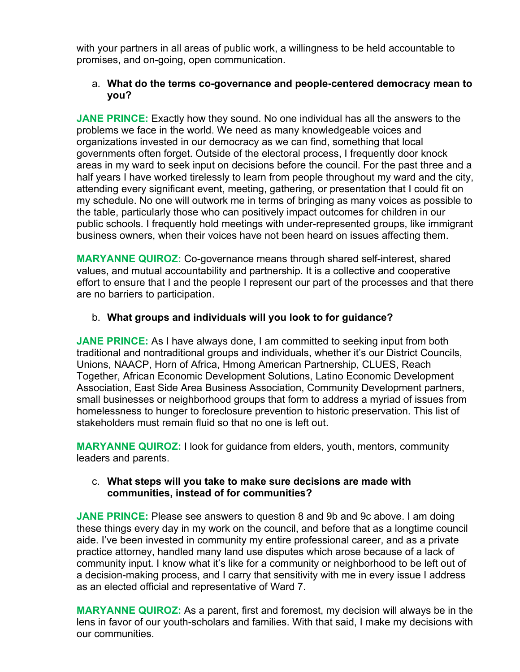with your partners in all areas of public work, a willingness to be held accountable to promises, and on-going, open communication.

## a. **What do the terms co-governance and people-centered democracy mean to you?**

**JANE PRINCE:** Exactly how they sound. No one individual has all the answers to the problems we face in the world. We need as many knowledgeable voices and organizations invested in our democracy as we can find, something that local governments often forget. Outside of the electoral process, I frequently door knock areas in my ward to seek input on decisions before the council. For the past three and a half years I have worked tirelessly to learn from people throughout my ward and the city, attending every significant event, meeting, gathering, or presentation that I could fit on my schedule. No one will outwork me in terms of bringing as many voices as possible to the table, particularly those who can positively impact outcomes for children in our public schools. I frequently hold meetings with under-represented groups, like immigrant business owners, when their voices have not been heard on issues affecting them.

**MARYANNE QUIROZ:** Co-governance means through shared self-interest, shared values, and mutual accountability and partnership. It is a collective and cooperative effort to ensure that I and the people I represent our part of the processes and that there are no barriers to participation.

## b. **What groups and individuals will you look to for guidance?**

**JANE PRINCE:** As I have always done, I am committed to seeking input from both traditional and nontraditional groups and individuals, whether it's our District Councils, Unions, NAACP, Horn of Africa, Hmong American Partnership, CLUES, Reach Together, African Economic Development Solutions, Latino Economic Development Association, East Side Area Business Association, Community Development partners, small businesses or neighborhood groups that form to address a myriad of issues from homelessness to hunger to foreclosure prevention to historic preservation. This list of stakeholders must remain fluid so that no one is left out.

**MARYANNE QUIROZ:** I look for guidance from elders, youth, mentors, community leaders and parents.

## c. **What steps will you take to make sure decisions are made with communities, instead of for communities?**

**JANE PRINCE:** Please see answers to question 8 and 9b and 9c above. I am doing these things every day in my work on the council, and before that as a longtime council aide. I've been invested in community my entire professional career, and as a private practice attorney, handled many land use disputes which arose because of a lack of community input. I know what it's like for a community or neighborhood to be left out of a decision-making process, and I carry that sensitivity with me in every issue I address as an elected official and representative of Ward 7.

**MARYANNE QUIROZ:** As a parent, first and foremost, my decision will always be in the lens in favor of our youth-scholars and families. With that said, I make my decisions with our communities.